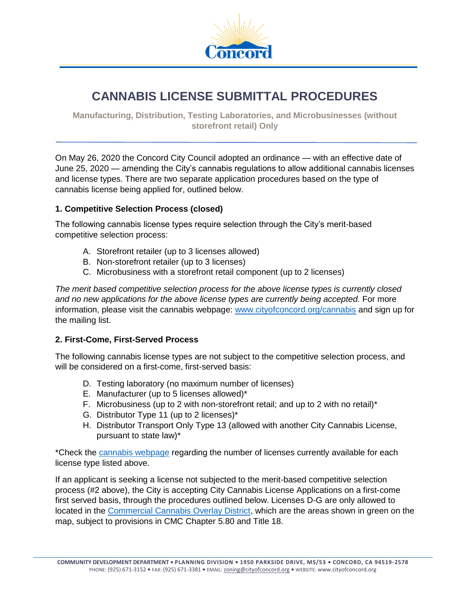

# **CANNABIS LICENSE SUBMITTAL PROCEDURES**

**Manufacturing, Distribution, Testing Laboratories, and Microbusinesses (without storefront retail) Only**

On May 26, 2020 the Concord City Council adopted an ordinance — with an effective date of June 25, 2020 — amending the City's cannabis regulations to allow additional cannabis licenses and license types. There are two separate application procedures based on the type of cannabis license being applied for, outlined below.

#### **1. Competitive Selection Process (closed)**

The following cannabis license types require selection through the City's merit-based competitive selection process:

- A. Storefront retailer (up to 3 licenses allowed)
- B. Non-storefront retailer (up to 3 licenses)
- C. Microbusiness with a storefront retail component (up to 2 licenses)

*The merit based competitive selection process for the above license types is currently closed and no new applications for the above license types are currently being accepted.* For more information, please visit the cannabis webpage: [www.cityofconcord.org/cannabis](http://www.cityofconcord.org/cannabis) and sign up for the mailing list.

#### **2. First-Come, First-Served Process**

The following cannabis license types are not subject to the competitive selection process, and will be considered on a first-come, first-served basis:

- D. Testing laboratory (no maximum number of licenses)
- E. Manufacturer (up to 5 licenses allowed)\*
- F. Microbusiness (up to 2 with non-storefront retail; and up to 2 with no retail)\*
- G. Distributor Type 11 (up to 2 licenses)\*
- H. Distributor Transport Only Type 13 (allowed with another City Cannabis License, pursuant to state law)\*

\*Check the [cannabis webpage](http://www.cityofconcord.org/527/Cannabis-Regulations) regarding the number of licenses currently available for each license type listed above.

If an applicant is seeking a license not subjected to the merit-based competitive selection process (#2 above), the City is accepting City Cannabis License Applications on a first-come first served basis, through the procedures outlined below. Licenses D-G are only allowed to located in the [Commercial Cannabis Overlay District,](http://www.cityofconcord.org/DocumentCenter/View/4690/New-Cannabis-Overlay-Map) which are the areas shown in green on the map, subject to provisions in CMC Chapter 5.80 and Title 18.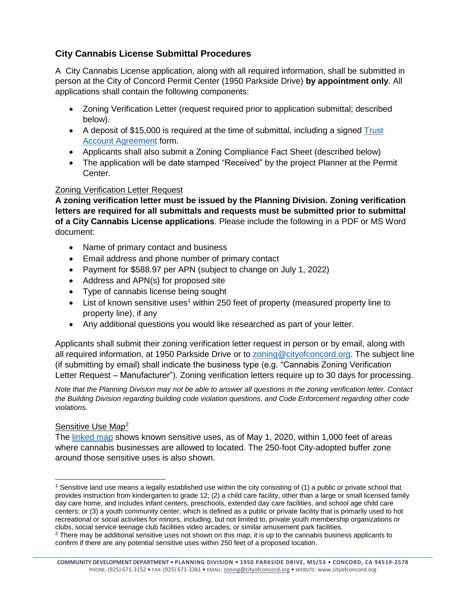# **City Cannabis License Submittal Procedures**

A City Cannabis License application, along with all required information, shall be submitted in person at the City of Concord Permit Center (1950 Parkside Drive) **by appointment only**. All applications shall contain the following components:

- Zoning Verification Letter (request required prior to application submittal; described below).
- A deposit of \$15,000 is required at the time of submittal, including a signed  $\frac{r}{\text{rust}}$ [Account Agreement](http://www.cityofconcord.org/DocumentCenter/View/264/Trust-Account-Agreement-PDF?bidId=) form.
- Applicants shall also submit a Zoning Compliance Fact Sheet (described below)
- The application will be date stamped "Received" by the project Planner at the Permit Center.

#### Zoning Verification Letter Request

**A zoning verification letter must be issued by the Planning Division. Zoning verification letters are required for all submittals and requests must be submitted prior to submittal of a City Cannabis License applications**. Please include the following in a PDF or MS Word document:

- Name of primary contact and business
- Email address and phone number of primary contact
- Payment for \$588.97 per APN (subject to change on July 1, 2022)
- Address and APN(s) for proposed site
- Type of cannabis license being sought
- $\bullet$  List of known sensitive uses<sup>1</sup> within 250 feet of property (measured property line to property line), if any
- Any additional questions you would like researched as part of your letter.

Applicants shall submit their zoning verification letter request in person or by email, along with all required information, at 1950 Parkside Drive or to [zoning@cityofconcord.org.](mailto:zoning@cityofconcord.org) The subject line (if submitting by email) shall indicate the business type (e.g. "Cannabis Zoning Verification Letter Request – Manufacturer"). Zoning verification letters require up to 30 days for processing.

*Note that the Planning Division may not be able to answer all questions in the zoning verification letter. Contact the Building Division regarding building code violation questions, and Code Enforcement regarding other code violations.* 

#### Sensitive Use Map<sup>2</sup>

The [linked map](http://www.cityofconcord.org/DocumentCenter/View/4655/CannMap_05142020) shows known sensitive uses, as of May 1, 2020, within 1,000 feet of areas where cannabis businesses are allowed to located. The 250-foot City-adopted buffer zone around those sensitive uses is also shown.

 $\overline{\phantom{a}}$ <sup>1</sup> Sensitive land use means a legally established use within the city consisting of (1) a public or private school that provides instruction from kindergarten to grade 12; (2) a child care facility, other than a large or small licensed family day care home, and includes infant centers, preschools, extended day care facilities, and school age child care centers; or (3) a youth community center, which is defined as a public or private facility that is primarily used to hot recreational or social activities for minors, including, but not limited to, private youth membership organizations or clubs, social service teenage club facilities video arcades, or similar amusement park facilities.

<sup>&</sup>lt;sup>2</sup> There may be additional sensitive uses not shown on this map; it is up to the cannabis business applicants to confirm if there are any potential sensitive uses within 250 feet of a proposed location.